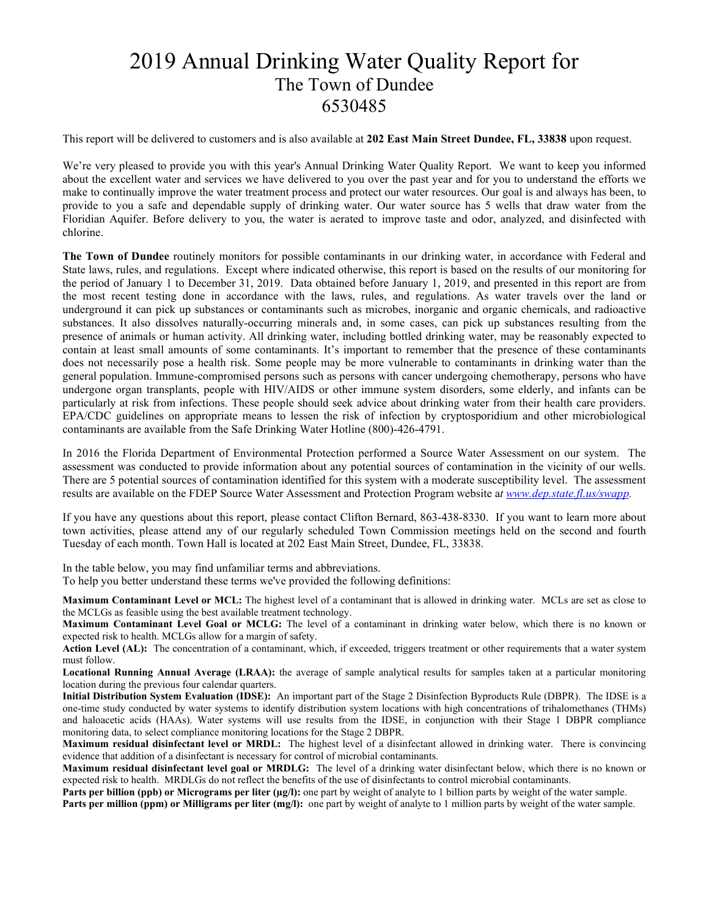## 2019 Annual Drinking Water Quality Report for The Town of Dundee 6530485

This report will be delivered to customers and is also available at **202 East Main Street Dundee, FL, 33838** upon request.

We're very pleased to provide you with this year's Annual Drinking Water Quality Report. We want to keep you informed about the excellent water and services we have delivered to you over the past year and for you to understand the efforts we make to continually improve the water treatment process and protect our water resources. Our goal is and always has been, to provide to you a safe and dependable supply of drinking water. Our water source has 5 wells that draw water from the Floridian Aquifer. Before delivery to you, the water is aerated to improve taste and odor, analyzed, and disinfected with chlorine.

**The Town of Dundee** routinely monitors for possible contaminants in our drinking water, in accordance with Federal and State laws, rules, and regulations. Except where indicated otherwise, this report is based on the results of our monitoring for the period of January 1 to December 31, 2019. Data obtained before January 1, 2019, and presented in this report are from the most recent testing done in accordance with the laws, rules, and regulations. As water travels over the land or underground it can pick up substances or contaminants such as microbes, inorganic and organic chemicals, and radioactive substances. It also dissolves naturally-occurring minerals and, in some cases, can pick up substances resulting from the presence of animals or human activity. All drinking water, including bottled drinking water, may be reasonably expected to contain at least small amounts of some contaminants. It's important to remember that the presence of these contaminants does not necessarily pose a health risk. Some people may be more vulnerable to contaminants in drinking water than the general population. Immune-compromised persons such as persons with cancer undergoing chemotherapy, persons who have undergone organ transplants, people with HIV/AIDS or other immune system disorders, some elderly, and infants can be particularly at risk from infections. These people should seek advice about drinking water from their health care providers. EPA/CDC guidelines on appropriate means to lessen the risk of infection by cryptosporidium and other microbiological contaminants are available from the Safe Drinking Water Hotline (800)-426-4791.

In 2016 the Florida Department of Environmental Protection performed a Source Water Assessment on our system. The assessment was conducted to provide information about any potential sources of contamination in the vicinity of our wells. There are 5 potential sources of contamination identified for this system with a moderate susceptibility level. The assessment results are available on the FDEP Source Water Assessment and Protection Program website a*t [www.dep.state.fl.us/swapp.](http://www.dep.state.fl.us/swapp)*

If you have any questions about this report, please contact Clifton Bernard, 863-438-8330. If you want to learn more about town activities, please attend any of our regularly scheduled Town Commission meetings held on the second and fourth Tuesday of each month. Town Hall is located at 202 East Main Street, Dundee, FL, 33838.

In the table below, you may find unfamiliar terms and abbreviations.

To help you better understand these terms we've provided the following definitions:

**Maximum Contaminant Level or MCL:** The highest level of a contaminant that is allowed in drinking water. MCLs are set as close to the MCLGs as feasible using the best available treatment technology.

**Maximum Contaminant Level Goal or MCLG:** The level of a contaminant in drinking water below, which there is no known or expected risk to health. MCLGs allow for a margin of safety.

**Action Level (AL):** The concentration of a contaminant, which, if exceeded, triggers treatment or other requirements that a water system must follow.

**Locational Running Annual Average (LRAA):** the average of sample analytical results for samples taken at a particular monitoring location during the previous four calendar quarters.

**Initial Distribution System Evaluation (IDSE):** An important part of the Stage 2 Disinfection Byproducts Rule (DBPR). The IDSE is a one-time study conducted by water systems to identify distribution system locations with high concentrations of trihalomethanes (THMs) and haloacetic acids (HAAs). Water systems will use results from the IDSE, in conjunction with their Stage 1 DBPR compliance monitoring data, to select compliance monitoring locations for the Stage 2 DBPR.

**Maximum residual disinfectant level or MRDL:** The highest level of a disinfectant allowed in drinking water. There is convincing evidence that addition of a disinfectant is necessary for control of microbial contaminants.

**Maximum residual disinfectant level goal or MRDLG:** The level of a drinking water disinfectant below, which there is no known or expected risk to health. MRDLGs do not reflect the benefits of the use of disinfectants to control microbial contaminants.

**Parts per billion (ppb) or Micrograms per liter (µg/l):** one part by weight of analyte to 1 billion parts by weight of the water sample.

**Parts per million (ppm) or Milligrams per liter (mg/l):** one part by weight of analyte to 1 million parts by weight of the water sample.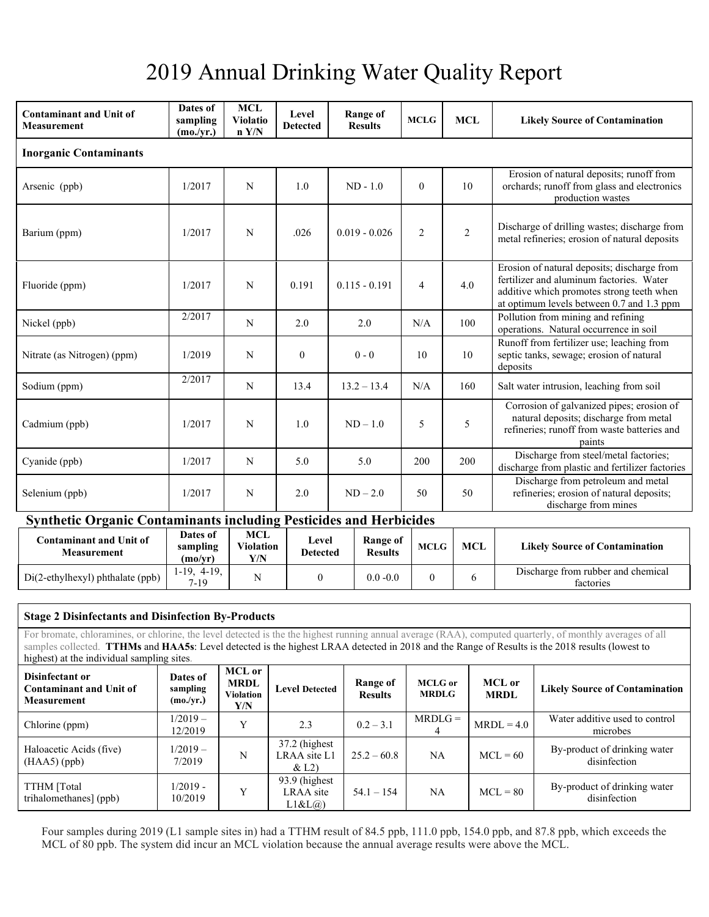## 2019 Annual Drinking Water Quality Report

| <b>Contaminant and Unit of</b><br><b>Measurement</b>                      | Dates of<br>sampling<br>(mo./yr.) | <b>MCL</b><br><b>Violatio</b><br>n Y/N | Level<br><b>Detected</b> | <b>Range of</b><br><b>Results</b> | <b>MCLG</b>    | <b>MCL</b>     | <b>Likely Source of Contamination</b>                                                                                                                                             |  |
|---------------------------------------------------------------------------|-----------------------------------|----------------------------------------|--------------------------|-----------------------------------|----------------|----------------|-----------------------------------------------------------------------------------------------------------------------------------------------------------------------------------|--|
| <b>Inorganic Contaminants</b>                                             |                                   |                                        |                          |                                   |                |                |                                                                                                                                                                                   |  |
| Arsenic (ppb)                                                             | 1/2017                            | N                                      | 1.0                      | $ND - 1.0$                        | $\theta$       | 10             | Erosion of natural deposits; runoff from<br>orchards; runoff from glass and electronics<br>production wastes                                                                      |  |
| Barium (ppm)                                                              | 1/2017                            | N                                      | .026                     | $0.019 - 0.026$                   | 2              | $\overline{2}$ | Discharge of drilling wastes; discharge from<br>metal refineries; erosion of natural deposits                                                                                     |  |
| Fluoride (ppm)                                                            | 1/2017                            | $\mathbf N$                            | 0.191                    | $0.115 - 0.191$                   | $\overline{4}$ | 4.0            | Erosion of natural deposits; discharge from<br>fertilizer and aluminum factories. Water<br>additive which promotes strong teeth when<br>at optimum levels between 0.7 and 1.3 ppm |  |
| Nickel (ppb)                                                              | 2/2017                            | N                                      | 2.0                      | 2.0                               | N/A            | 100            | Pollution from mining and refining<br>operations. Natural occurrence in soil                                                                                                      |  |
| Nitrate (as Nitrogen) (ppm)                                               | 1/2019                            | N                                      | $\mathbf{0}$             | $0 - 0$                           | 10             | 10             | Runoff from fertilizer use; leaching from<br>septic tanks, sewage; erosion of natural<br>deposits                                                                                 |  |
| Sodium (ppm)                                                              | 2/2017                            | N                                      | 13.4                     | $13.2 - 13.4$                     | N/A            | 160            | Salt water intrusion, leaching from soil                                                                                                                                          |  |
| Cadmium (ppb)                                                             | 1/2017                            | N                                      | 1.0                      | $ND - 1.0$                        | 5              | 5              | Corrosion of galvanized pipes; erosion of<br>natural deposits; discharge from metal<br>refineries; runoff from waste batteries and<br>paints                                      |  |
| Cyanide (ppb)                                                             | 1/2017                            | N                                      | 5.0                      | 5.0                               | 200            | 200            | Discharge from steel/metal factories;<br>discharge from plastic and fertilizer factories                                                                                          |  |
| Selenium (ppb)                                                            | 1/2017                            | N                                      | 2.0                      | $ND - 2.0$                        | 50             | 50             | Discharge from petroleum and metal<br>refineries; erosion of natural deposits;<br>discharge from mines                                                                            |  |
| <b>Synthetic Organic Contaminants including Pesticides and Herbicides</b> |                                   |                                        |                          |                                   |                |                |                                                                                                                                                                                   |  |
| <b>Contaminant and Unit of</b><br>Measurement                             | Dates of<br>sampling<br>(mo/yr)   | <b>MCL</b><br><b>Violation</b><br>Y/N  | Level<br><b>Detected</b> | <b>Range of</b><br><b>Results</b> | <b>MCLG</b>    | <b>MCL</b>     | <b>Likely Source of Contamination</b>                                                                                                                                             |  |

|  | <b>Stage 2 Disinfectants and Disinfection By-Products</b> |  |  |
|--|-----------------------------------------------------------|--|--|
|  |                                                           |  |  |

Di(2-ethylhexyl) phthalate (ppb)  $\begin{vmatrix} 1-19 & 4-19 \\ 7-19 & 7 \end{vmatrix}$ 

For bromate, chloramines, or chlorine, the level detected is the the highest running annual average (RAA), computed quarterly, of monthly averages of all samples collected. **TTHMs** and **HAA5s**: Level detected is the highest LRAA detected in 2018 and the Range of Results is the 2018 results (lowest to highest) at the individual sampling sites.

 $N = 0$  0.0 -0.0 0 6 Discharge from rubber and chemical

factories

| Disinfectant or<br><b>Contaminant and Unit of</b><br><b>Measurement</b> | Dates of<br>sampling<br>(mo./yr.) | <b>MCL</b> or<br><b>MRDL</b><br><b>Violation</b><br>Y/N | <b>Level Detected</b>                          | Range of<br><b>Results</b> | <b>MCLG</b> or<br><b>MRDLG</b> | MCL or<br><b>MRDL</b> | <b>Likely Source of Contamination</b>        |
|-------------------------------------------------------------------------|-----------------------------------|---------------------------------------------------------|------------------------------------------------|----------------------------|--------------------------------|-----------------------|----------------------------------------------|
| Chlorine (ppm)                                                          | $1/2019 -$<br>12/2019             | $\bf{V}$                                                | 2.3                                            | $0.2 - 3.1$                | $MRDLG =$<br>4                 | $MRDL = 4.0$          | Water additive used to control<br>microbes   |
| Haloacetic Acids (five)<br>$(HAA5)$ (ppb)                               | $1/2019 -$<br>7/2019              | N                                                       | 37.2 (highest)<br>LRAA site L1<br>& L2)        | $25.2 - 60.8$              | NA                             | $MCL = 60$            | By-product of drinking water<br>disinfection |
| TTHM [Total<br>trihalomethanes] (ppb)                                   | $1/2019 -$<br>10/2019             | v                                                       | 93.9 (highest)<br>LRAA site<br>$L1\&L(\omega)$ | $54.1 - 154$               | NA                             | $MCL = 80$            | By-product of drinking water<br>disinfection |

Four samples during 2019 (L1 sample sites in) had a TTHM result of 84.5 ppb, 111.0 ppb, 154.0 ppb, and 87.8 ppb, which exceeds the MCL of 80 ppb. The system did incur an MCL violation because the annual average results were above the MCL.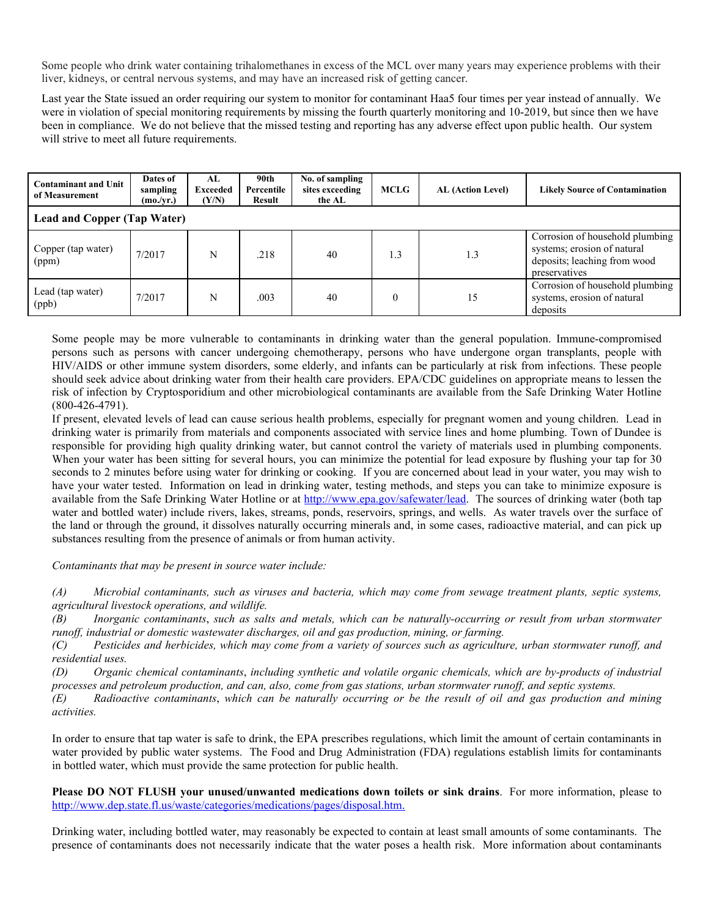Some people who drink water containing trihalomethanes in excess of the MCL over many years may experience problems with their liver, kidneys, or central nervous systems, and may have an increased risk of getting cancer.

Last year the State issued an order requiring our system to monitor for contaminant Haa5 four times per year instead of annually. We were in violation of special monitoring requirements by missing the fourth quarterly monitoring and 10-2019, but since then we have been in compliance. We do not believe that the missed testing and reporting has any adverse effect upon public health. Our system will strive to meet all future requirements.

| <b>Contaminant and Unit</b><br>of Measurement | Dates of<br>sampling<br>(mo./vr.) | AL<br><b>Exceeded</b><br>(Y/N) | 90th<br>Percentile<br>Result | No. of sampling<br>sites exceeding<br>the AL | <b>MCLG</b> | <b>AL</b> (Action Level) | <b>Likely Source of Contamination</b>                                                                           |  |  |  |
|-----------------------------------------------|-----------------------------------|--------------------------------|------------------------------|----------------------------------------------|-------------|--------------------------|-----------------------------------------------------------------------------------------------------------------|--|--|--|
| <b>Lead and Copper (Tap Water)</b>            |                                   |                                |                              |                                              |             |                          |                                                                                                                 |  |  |  |
| Copper (tap water)<br>(ppm)                   | 7/2017                            | N                              | .218                         | 40                                           | 1.3         | 1.3                      | Corrosion of household plumbing<br>systems; erosion of natural<br>deposits; leaching from wood<br>preservatives |  |  |  |
| Lead (tap water)<br>(ppb)                     | 7/2017                            | N                              | .003                         | 40                                           |             | 15                       | Corrosion of household plumbing<br>systems, erosion of natural<br>deposits                                      |  |  |  |

Some people may be more vulnerable to contaminants in drinking water than the general population. Immune-compromised persons such as persons with cancer undergoing chemotherapy, persons who have undergone organ transplants, people with HIV/AIDS or other immune system disorders, some elderly, and infants can be particularly at risk from infections. These people should seek advice about drinking water from their health care providers. EPA/CDC guidelines on appropriate means to lessen the risk of infection by Cryptosporidium and other microbiological contaminants are available from the Safe Drinking Water Hotline (800-426-4791).

If present, elevated levels of lead can cause serious health problems, especially for pregnant women and young children. Lead in drinking water is primarily from materials and components associated with service lines and home plumbing. Town of Dundee is responsible for providing high quality drinking water, but cannot control the variety of materials used in plumbing components. When your water has been sitting for several hours, you can minimize the potential for lead exposure by flushing your tap for 30 seconds to 2 minutes before using water for drinking or cooking. If you are concerned about lead in your water, you may wish to have your water tested. Information on lead in drinking water, testing methods, and steps you can take to minimize exposure is available from the Safe Drinking Water Hotline or at [http://www.epa.gov/safewater/lead.](http://www.epa.gov/safewater/lead) The sources of drinking water (both tap water and bottled water) include rivers, lakes, streams, ponds, reservoirs, springs, and wells. As water travels over the surface of the land or through the ground, it dissolves naturally occurring minerals and, in some cases, radioactive material, and can pick up substances resulting from the presence of animals or from human activity.

*Contaminants that may be present in source water include:*

*(A) Microbial contaminants, such as viruses and bacteria, which may come from sewage treatment plants, septic systems, agricultural livestock operations, and wildlife.*

*(B) Inorganic contaminants*, *such as salts and metals, which can be naturally-occurring or result from urban stormwater runoff, industrial or domestic wastewater discharges, oil and gas production, mining, or farming.*

*(C) Pesticides and herbicides, which may come from a variety of sources such as agriculture, urban stormwater runoff, and residential uses.*

*(D) Organic chemical contaminants*, *including synthetic and volatile organic chemicals, which are by-products of industrial processes and petroleum production, and can, also, come from gas stations, urban stormwater runoff, and septic systems.*

*(E) Radioactive contaminants*, *which can be naturally occurring or be the result of oil and gas production and mining activities.*

In order to ensure that tap water is safe to drink, the EPA prescribes regulations, which limit the amount of certain contaminants in water provided by public water systems. The Food and Drug Administration (FDA) regulations establish limits for contaminants in bottled water, which must provide the same protection for public health.

**Please DO NOT FLUSH your unused/unwanted medications down toilets or sink drains**. For more information, please to [http://www.dep.state.fl.us/waste/categories/medications/pages/disposal.htm.](http://www.dep.state.fl.us/waste/categories/medications/pages/disposal.htm)

Drinking water, including bottled water, may reasonably be expected to contain at least small amounts of some contaminants. The presence of contaminants does not necessarily indicate that the water poses a health risk. More information about contaminants